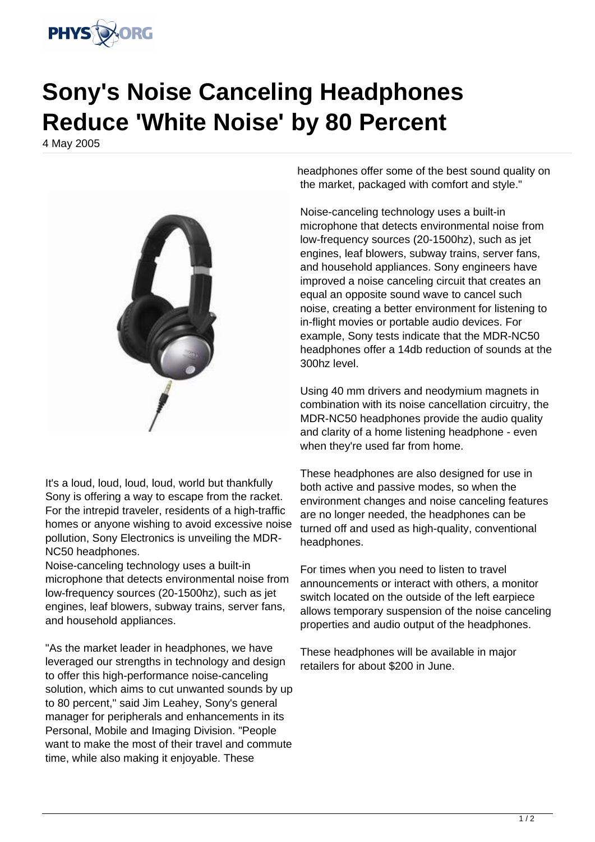

## **Sony's Noise Canceling Headphones Reduce 'White Noise' by 80 Percent**

4 May 2005



It's a loud, loud, loud, loud, world but thankfully Sony is offering a way to escape from the racket. For the intrepid traveler, residents of a high-traffic homes or anyone wishing to avoid excessive noise pollution, Sony Electronics is unveiling the MDR-NC50 headphones.

Noise-canceling technology uses a built-in microphone that detects environmental noise from low-frequency sources (20-1500hz), such as jet engines, leaf blowers, subway trains, server fans, and household appliances.

"As the market leader in headphones, we have leveraged our strengths in technology and design to offer this high-performance noise-canceling solution, which aims to cut unwanted sounds by up to 80 percent," said Jim Leahey, Sony's general manager for peripherals and enhancements in its Personal, Mobile and Imaging Division. "People want to make the most of their travel and commute time, while also making it enjoyable. These

headphones offer some of the best sound quality on the market, packaged with comfort and style."

Noise-canceling technology uses a built-in microphone that detects environmental noise from low-frequency sources (20-1500hz), such as jet engines, leaf blowers, subway trains, server fans, and household appliances. Sony engineers have improved a noise canceling circuit that creates an equal an opposite sound wave to cancel such noise, creating a better environment for listening to in-flight movies or portable audio devices. For example, Sony tests indicate that the MDR-NC50 headphones offer a 14db reduction of sounds at the 300hz level.

Using 40 mm drivers and neodymium magnets in combination with its noise cancellation circuitry, the MDR-NC50 headphones provide the audio quality and clarity of a home listening headphone - even when they're used far from home.

These headphones are also designed for use in both active and passive modes, so when the environment changes and noise canceling features are no longer needed, the headphones can be turned off and used as high-quality, conventional headphones.

For times when you need to listen to travel announcements or interact with others, a monitor switch located on the outside of the left earpiece allows temporary suspension of the noise canceling properties and audio output of the headphones.

These headphones will be available in major retailers for about \$200 in June.